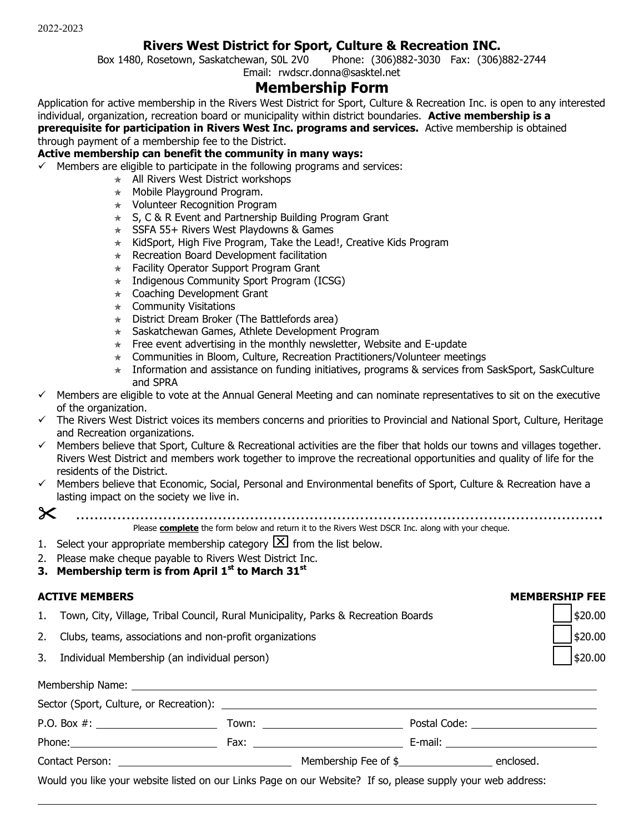### **Rivers West District for Sport, Culture & Recreation INC.**

Box 1480, Rosetown, Saskatchewan, S0L 2V0 Phone: (306)882-3030 Fax: (306)882-2744 Email: rwdscr.donna@sasktel.net

# **Membership Form**

Application for active membership in the Rivers West District for Sport, Culture & Recreation Inc. is open to any interested individual, organization, recreation board or municipality within district boundaries. **Active membership is a prerequisite for participation in Rivers West Inc. programs and services.** Active membership is obtained through payment of a membership fee to the District.

#### **Active membership can benefit the community in many ways:**

- $\checkmark$  Members are eligible to participate in the following programs and services:
	- $\star$  All Rivers West District workshops
	- $\star$  Mobile Playground Program.
	- Volunteer Recognition Program
	- $\star$  S, C & R Event and Partnership Building Program Grant
	- $\star$  SSFA 55+ Rivers West Playdowns & Games
	- $\star$  KidSport, High Five Program, Take the Lead!, Creative Kids Program
	- $*$  Recreation Board Development facilitation
	- $\star$  Facility Operator Support Program Grant
	- $\star$  Indigenous Community Sport Program (ICSG)
	- $\star$  Coaching Development Grant
	- $\star$  Community Visitations
	- $\star$  District Dream Broker (The Battlefords area)
	- $\star$  Saskatchewan Games, Athlete Development Program
	- $\star$  Free event advertising in the monthly newsletter, Website and E-update
	- $\star$  Communities in Bloom, Culture, Recreation Practitioners/Volunteer meetings
	- $\star$  Information and assistance on funding initiatives, programs & services from SaskSport, SaskCulture and SPRA
- $\checkmark$  Members are eligible to vote at the Annual General Meeting and can nominate representatives to sit on the executive of the organization.
- $\checkmark$  The Rivers West District voices its members concerns and priorities to Provincial and National Sport, Culture, Heritage and Recreation organizations.
- $\checkmark$  Members believe that Sport, Culture & Recreational activities are the fiber that holds our towns and villages together. Rivers West District and members work together to improve the recreational opportunities and quality of life for the residents of the District.
- $\checkmark$  Members believe that Economic, Social, Personal and Environmental benefits of Sport, Culture & Recreation have a lasting impact on the society we live in.
- 

…………………………………………………………………………………………………….

Please **complete** the form below and return it to the Rivers West DSCR Inc. along with your cheque.

- 1. Select your appropriate membership category  $[\times]$  from the list below.
- 2. Please make cheque payable to Rivers West District Inc.
- **3. Membership term is from April 1st to March 31st**

#### **ACTIVE MEMBERS MEMBERSHIP FEE**

- 1. Town, City, Village, Tribal Council, Rural Municipality, Parks & Recreation Boards **1.1.1.1.1.1.1.1.1.1.1.1.1.**
- 2. Clubs, teams, associations and non-profit organizations **\$20.00**  $\left| \right|$ \$20.00
- 3. Individual Membership (an individual person) \$20.00

|                                                                                                             | Postal Code: _________________________    |  |
|-------------------------------------------------------------------------------------------------------------|-------------------------------------------|--|
|                                                                                                             | E-mail: _________________________________ |  |
|                                                                                                             | Membership Fee of \$                      |  |
| Would you like your website listed on our Links Page on our Website? If so, please supply your web address: |                                           |  |